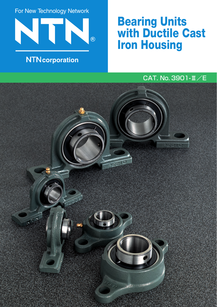For New Technology Network



### **NTN**corporation

# **Bearing Units with Ductile Cast Iron Housing**

### CAT. No. 3901-#/E

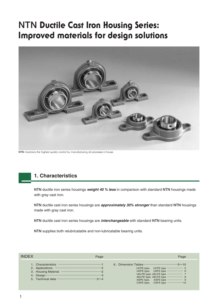## **NTN Ductile Cast Iron Housing Series: Improved materials for design solutions**



**NTN** maintains the highest quality control by manufacturing all processes in house.

#### **1. Characteristics**

**NTN** ductile iron series housings *weight 40 % less* in comparison with standard **NTN** housings made with gray cast iron.

**NTN** ductile cast iron series housings are *approximately 30% stronger* than standard **NTN** housings made with gray cast iron.

**NTN** ductile cast iron series housings are *interchangeable* with standard **NTN** bearing units.

**NTN** supplies both relubricatable and non-lubricatable bearing units.

| <b>INDEX</b> | Page                                                                                                                                                                                                                                                                                                                                | Page                                                                                                                                                                                                                                                                                                                                                                                     |
|--------------|-------------------------------------------------------------------------------------------------------------------------------------------------------------------------------------------------------------------------------------------------------------------------------------------------------------------------------------|------------------------------------------------------------------------------------------------------------------------------------------------------------------------------------------------------------------------------------------------------------------------------------------------------------------------------------------------------------------------------------------|
|              | 5. Technical data $\cdots$ $\cdots$ $\cdots$ $\cdots$ $\cdots$ $\cdots$ $\cdots$ $\cdots$ $\cdots$ $\cdots$ $\cdots$ $\cdots$ $\cdots$ $\cdots$ $\cdots$ $\cdots$ $\cdots$ $\cdots$ $\cdots$ $\cdots$ $\cdots$ $\cdots$ $\cdots$ $\cdots$ $\cdots$ $\cdots$ $\cdots$ $\cdots$ $\cdots$ $\cdots$ $\cdots$ $\cdots$ $\cdots$ $\cdots$ | 6. Dimension Tables $\cdots$ $\cdots$ $\cdots$ $\cdots$ $\cdots$ $\cdots$ $\cdots$ $\cdots$ $\cdots$ $\cdots$ $\cdots$ $\cdots$ $\cdots$ $\cdots$ $\cdots$ $\cdots$ $\cdots$ $\cdots$ $\cdots$ $\cdots$ $\cdots$ $\cdots$ $\cdots$ $\cdots$ $\cdots$ $\cdots$ $\cdots$ $\cdots$ $\cdots$ $\cdots$ $\cdots$ $\cdots$ $\cdots$ $\cd$<br>UKPE type, UKFE type  6<br>CSPE type, CSFE type 10 |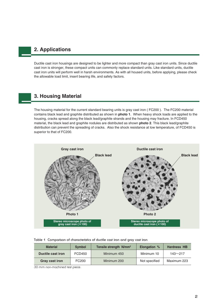#### **2. Applications**

Ductile cast iron housings are designed to be lighter and more compact than gray cast iron units. Since ductile cast iron is stronger, these compact units can commonly replace standard units. Like standard units, ductile cast iron units will perform well in harsh environments. As with all housed units, before applying, please check the allowable load limit, insert bearing life, and safety factors.

#### **3. Housing Material**

The housing material for the current standard bearing units is gray cast iron ( FC200 ). The FC200 material contains black lead and graphite distributed as shown in **photo 1**. When heavy shock loads are applied to the housing, cracks spread along the black lead/graphite strands and the housing may fracture. In FCD450 material, the black lead and graphite nodules are distributed as shown **photo 2**. This black lead/graphite distribution can prevent the spreading of cracks. Also the shock resistance at low temperature, of FCD450 is superior to that of FC200.



#### **Table 1 Comparison of characteristics of ductile cast iron and gray cast iron**

| <b>Material</b>          | <b>Symbol</b> | Tensile strength N/mm <sup>2</sup> | <b>Elongation</b> % | <b>Hardness HB</b> |
|--------------------------|---------------|------------------------------------|---------------------|--------------------|
| <b>Ductile cast iron</b> | FCD450        | Minimum 450                        | Minimum 10          | $143 - 217$        |
| <b>Gray cast iron</b>    | FC200         | Minimum 200                        | Not specified       | Maximum 223        |

30 mm non-machined test piece.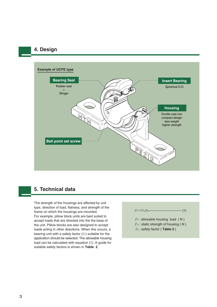#### **4. Design**



#### **5. Technical data**

The strength of the housings are affected by unit type, direction of load, flatness, and strength of the frame on which the housings are mounted. For example, pillow block units are best suited to accept loads that are directed into the the base of the unit. Pillow blocks are also designed to accept loads acting in other directions. When this occurs, a bearing unit with a safety factor (*S*0) suitable for the application should be selected. The allowable housing load can be calculated with equation (1). A guide for suitable safety factors is shown in **Table 2**.



- *P*<sup>0</sup> : allowable housing load ( N )
- *Pst* : static strength of housing (N)
- *S*<sup>0</sup> : safety factor ( **Table 2** )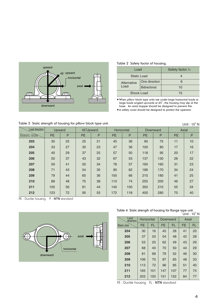

**Table 2 Safety factor of housing.**

| Load               |                      | Safety factor So |
|--------------------|----------------------|------------------|
| <b>Static Load</b> |                      |                  |
| Alternative        | One direction        |                  |
| Load               | <b>Bidirectional</b> | 10               |
| Shock Load         |                      | 15               |

¡**When pillow block type units are under large horizontal loads or large loads angled upwards at 45°, the housing may slip at the base. An axial stopper should be designed to prevent this.**

¡**A safety cover should be designed to protect the operator.**

Table 3 Static strength of housing for pillow block type unit.

| Table 3 Static strength of housing for pillow block type unit. |           |    |           |    |            |     |           |          |           | Unit: $10^3$ N |
|----------------------------------------------------------------|-----------|----|-----------|----|------------|-----|-----------|----------|-----------|----------------|
| Load direction                                                 | Upward    |    | 45°Upward |    | Horizontal |     |           | Downward |           | Axial          |
| Basic size                                                     | <b>PE</b> | P  | <b>PE</b> | P  | <b>PE</b>  | P   | <b>PE</b> | P        | <b>PE</b> | P              |
| 203                                                            | 30        | 25 | 25        | 21 | 45         | 36  | 90        | 75       | 11        | 10             |
| 204                                                            | 33        | 27 | 30        | 23 | 47         | 36  | 100       | 80       | 17        | 16             |
| 205                                                            | 40        | 29 | 37        | 25 | 57         | 50  | 118       | 95       | 20        | 17             |
| 206                                                            | 50        | 37 | 43        | 32 | 67         | 53  | 137       | 130      | 26        | 22             |
| 207                                                            | 59        | 41 | 50        | 34 | 78         | 57  | 160       | 160      | 31        | 23             |
| 208                                                            | 71        | 43 | 54        | 35 | 90         | 62  | 186       | 170      | 34        | 24             |
| 209                                                            | 79        | 44 | 65        | 36 | 100        | 66  | 215       | 180      | 41        | 25             |
| 210                                                            | 88        | 48 | 75        | 38 | 110        | 74  | 255       | 200      | 46        | 27             |
| 211                                                            | 105       | 56 | 81        | 44 | 140        | 100 | 350       | 210      | 55        | 34             |
| 212                                                            | 123       | 72 | 95        | 55 | 172        | 118 | 400       | 280      | 70        | 40             |
|                                                                |           |    |           |    |            |     |           |          |           |                |

PE : Ductile housing P : **NTN** standard



**Table 4 Static strength of housing for flange type unit.**

|                   |            |           |           |           |              | Unit: 10 <sup>3</sup> N |
|-------------------|------------|-----------|-----------|-----------|--------------|-------------------------|
| Load<br>direction | Horizontal |           | Downward  |           | <b>Axial</b> |                         |
| <b>Basic size</b> | <b>FE</b>  | <b>FL</b> | <b>FE</b> | <b>FL</b> | <b>FE</b>    | <b>FL</b>               |
| 204               | 30<br>16   |           | 45        | 28        | 41           | 20                      |
| 205               | 37<br>20   |           | 54        | 48        | 42           | 28                      |
| 206               | 53<br>25   |           | 62        | 49        | 43           | 29                      |
| 207               | 68         | 40        | 70        | 50        | 44           | 29                      |
| 208               | 81         | 68        | 79        | 52        | 46           | 30                      |
| 209               | 106        | 70        | 87        | 65        | 48           | 33                      |
| 210               | 113        | 72        | 96        | 85        | 51           | 40                      |
| 211               | 165<br>101 |           | 147       | 107       | 77           | 74                      |
| 212               | 203        | 150       | 151       | 152       | 84           | 77                      |

FE : Ductile housing FL : **NTN** standard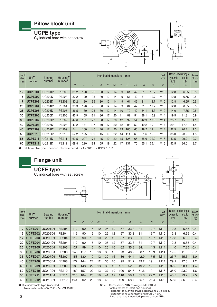







| <b>Shaft</b><br>dia. | Unit <sup>o</sup><br>number | <b>Bearing</b><br>number | Housing <sup>®</sup><br>number |      |     |     | Nominal dimensions |                |       |                | mm             |       |                  |      | <b>Bolt</b><br>size | Basic load ratings<br>dynamic<br>kN | static<br>kN    | <b>Mass</b><br>of unit |
|----------------------|-----------------------------|--------------------------|--------------------------------|------|-----|-----|--------------------|----------------|-------|----------------|----------------|-------|------------------|------|---------------------|-------------------------------------|-----------------|------------------------|
| mm                   |                             |                          |                                | Н    | L   | J   | А                  | $\overline{N}$ | $N_1$ | H <sub>1</sub> | H <sub>2</sub> | $L_1$ | $\boldsymbol{B}$ | S    | М                   | $C_{r}$                             | $C_{\text{or}}$ | kg                     |
| 12                   | <b>UCPE201</b>              | <b>UC201D1</b>           | PE203                          | 30.2 | 120 | 95  | 30                 | 12             | 14    | 9              | 61             | 42    | 31               | 12.7 | M <sub>10</sub>     | 12.8                                | 6.65            | 0.5                    |
| 15                   | <b>UCPE202</b>              | <b>UC202D1</b>           | PE203                          | 30.2 | 120 | 95  | 30                 | 12             | 14    | 9              | 61             | 42    | 31               | 12.7 | M <sub>10</sub>     | 12.8                                | 6.65            | 0.5                    |
| 17                   | <b>UCPE203</b>              | <b>UC203D1</b>           | PE203                          | 30.2 | 120 | 95  | 30                 | 12             | 14    | 9              | 61             | 42    | 31               | 12.7 | M <sub>10</sub>     | 12.8                                | 6.65            | 0.5                    |
| 20                   | <b>UCPE204</b>              | <b>UC204D1</b>           | PE204                          | 33.3 | 120 | 95  | 30                 | 12             | 14    | 9              | 64             | 42    | 31               | 12.7 | M <sub>10</sub>     | 12.8                                | 6.65            | 0.5                    |
| 25                   | <b>UCPE205</b>              | <b>UC205D1</b>           | <b>PE205</b>                   | 36.5 | 130 | 105 | 30                 | 12             | 14    | 10             | 70             | 42    | 34.1             | 14.3 | M <sub>10</sub>     | 14.0                                | 7.85            | 0.5                    |
| 30                   | <b>UCPE206</b>              | <b>UC206D1</b>           | PE206                          | 42.9 | 155 | 121 | 36                 | 17             | 20    | 11             | 82             | 54    | 38.1             | 15.9 | M14                 | 19.5                                | 11.3            | 0.9                    |
| 35                   | <b>UCPE207</b>              | <b>UC207D1</b>           | <b>PE207</b>                   | 47.6 | 161 | 127 | 38                 | 17             | 20    | 12             | 92             | 54    | 42.9             | 17.5 | M <sub>14</sub>     | 25.7                                | 15.3            | 1.1                    |
| 40                   | <b>UCPE208</b>              | <b>UC208D1</b>           | PE208                          | 49.2 | 171 | 137 | 40                 | 17             | 20    | 12             | 98             | 52    | 49.2             | 19   | M14                 | 29.1                                | 17.8            | 1.4                    |
| 45                   | <b>UCPE209</b>              | <b>UC209D1</b>           | PE209                          | 54   | 180 | 146 | 40                 | 17             | 20    | 13             | 105            | 60    | 49.2             | 19   | M14                 | 32.5                                | 20.4            | 1.5                    |
| 50                   | <b>UCPE210</b>              | <b>UC210D1</b>           | PE210                          | 57.2 | 195 | 159 | 45                 | 19             | 22    | 14             | 114            | 65    | 51.6             | 19   | M16                 | 35.0                                | 23.2            | 1.8                    |
| 55                   | <b>UCPE211</b>              | <b>UC211D1</b>           | PE211                          | 63.5 | 207 | 171 | 45                 | 19             | 22    | 15             | 125            | 65    | 55.6             | 22.2 | M <sub>16</sub>     | 43.5                                | 29.2            | 2.7                    |
| 60                   | <b>UCPE212</b>              | <b>UC212D1</b>           | PE212                          | 69.8 | 220 | 184 | 55                 | 19             | 22    | 17             | 137            | 70    | 65.1             | 25.4 | M16                 | 52.5                                | 36.0            | 3.7                    |

1 If relubricatable type is needed, please order with suffix "**D1**". (Ex:**UCPE201D1**)

*M*



#### **Flange unit**

**UCFE type**

Cylindrical bore with set screw





| <b>Shaft</b><br>dia.<br>mm | Unit <sup>o</sup><br>number | <b>Bearing</b><br>number | Housing <sup>®</sup><br>number |     |                |                |                | Nominal dimensions |                |     | mm             |                  |      | <b>Bolt</b><br>size | <b>Basic load ratings</b><br>dynamic<br>kN | static<br>kN    | <b>Mass</b><br>of unit<br>kg |
|----------------------------|-----------------------------|--------------------------|--------------------------------|-----|----------------|----------------|----------------|--------------------|----------------|-----|----------------|------------------|------|---------------------|--------------------------------------------|-----------------|------------------------------|
|                            |                             |                          |                                | Н   | $\overline{J}$ | A <sub>2</sub> | A <sub>1</sub> | A                  | $\overline{N}$ | L   | A <sub>0</sub> | $\boldsymbol{B}$ | S    | M                   | $C_{r}$                                    | $C_{\text{or}}$ |                              |
| 12                         | <b>UCFE201</b>              | <b>UC201D1</b>           | <b>FE204</b>                   | 112 | 90             | 15             | 10             | 25                 | 12             | 57  | 33.3           | 31               | 12.7 | M <sub>10</sub>     | 12.8                                       | 6.65            | 0.4                          |
| 15                         | <b>UCFE202</b>              | <b>UC202D1</b>           | FE204                          | 112 | 90             | 15             | 10             | 25                 | 12             | 57  | 33.3           | 31               | 12.7 | M <sub>10</sub>     | 12.8                                       | 6.65            | 0.4                          |
| 17                         | <b>UCFE203</b>              | <b>UC203D1</b>           | <b>FE204</b>                   | 112 | 90             | 15             | 10             | 25                 | 12             | 57  | 33.3           | 31               | 12.7 | M <sub>10</sub>     | 12.8                                       | 6.65            | 0.4                          |
| 20                         | <b>UCFE204</b>              | <b>UC204D1</b>           | FE204                          | 112 | 90             | 15             | 10             | 25                 | 12             | 57  | 33.3           | 31               | 12.7 | M <sub>10</sub>     | 12.8                                       | 6.65            | 0.4                          |
| 25                         | <b>UCFE205</b>              | <b>UC205D1</b>           | <b>FE205</b>                   | 127 | 99             | 16             | 10             | 26                 | 16             | 62  | 35.8           | 34.1             | 14.3 | M14                 | 14.0                                       | 7.85            | 0.4                          |
| 30                         | <b>UCFE206</b>              | <b>UC206D1</b>           | FE206                          | 145 | 117            | 18             | 10             | 30                 | 16             | 73  | 40.2           | 38.1             | 15.9 | M14                 | 19.5                                       | 11.3            | 0.7                          |
| 35                         | <b>UCFE207</b>              | <b>UC207D1</b>           | <b>FE207</b>                   | 158 | 130            | 19             | 12             | 32                 | 16             | 86  | 44.4           | 42.9             | 17.5 | M14                 | 25.7                                       | 15.3            | 1.0                          |
| 40                         | <b>UCFE208</b>              | <b>UC208D1</b>           | FE208                          | 172 | 144            | 21             | 12             | 35                 | 16             | 95  | 51.2           | 49.2             | 19   | M14                 | 29.1                                       | 17.8            | 1.2                          |
| 45                         | <b>UCFE209</b>              | <b>UC209D1</b>           | FE209                          | 180 | 148            | 22             | 13             | 36                 | 19             | 101 | 52.2           | 49.2             | 19   | M <sub>16</sub>     | 32.5                                       | 20.4            | 1.4                          |
| 50                         | <b>UCFE210</b>              | <b>UC210D1</b>           | FE210                          | 189 | 157            | 22             | 13             | 37                 | 19             | 106 | 54.6           | 51.6             | 19   | M16                 | 35.0                                       | 23.2            | 1.6                          |
| 55                         | <b>UCFE211</b>              | <b>UC211D1</b>           | FE211                          | 216 | 184            | 25             | 18             | 41                 | 19             | 118 | 58.4           | 55.6             | 22.2 | M <sub>16</sub>     | 43.5                                       | 29.2            | 2.5                          |
| 60                         | <b>UCFE212</b>              | <b>UC212D1</b>           | FE212                          | 241 | 202            | 29             | 18             | 46                 | 23             | 129 | 68.7           | 65.1             | 25.4 | M20                 | 52.5                                       | 36.0            | 3.4                          |

**1** If relubricatable type is needed, please order with suffix "D1". (Ex:UCFE201D1) Note: Please check **NTN** catalogue NO.2400/E.

for tolerances of insert and housings. Tolerance of insert bearings according to JIS B 1558. Tolerance of housing according to JIS B 1559. If inch size bore is needed, please contact **NTN**.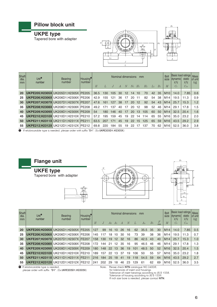#### **Pillow block unit**

#### **UKPE type**

Tapered bore with adapter



| Shaft<br>dia.<br>mm | Unit <sup>o</sup><br>number | <b>Bearing</b><br>number                   | Housing <sup>®</sup><br>number |      |     |     | Nominal dimensions |         |                | mm             |                |       |                | <b>Bolt</b><br>size | <b>Basic load ratings</b><br> dynamic <br>kN | static<br>kN | <b>Mass</b><br>of unit<br><b>kg</b> |
|---------------------|-----------------------------|--------------------------------------------|--------------------------------|------|-----|-----|--------------------|---------|----------------|----------------|----------------|-------|----------------|---------------------|----------------------------------------------|--------------|-------------------------------------|
|                     |                             |                                            |                                | H    |     |     | $\overline{A}$     | N       | N <sub>1</sub> | H <sub>1</sub> | H <sub>2</sub> | $L_1$ | B <sub>1</sub> |                     | $C_r$                                        | $C_{or}$     |                                     |
| <b>20</b>           |                             | <b>UKPE205:H2305X UK205D1:H2305X PE205</b> |                                | 36.5 | 130 | 105 | 30                 | $12 \,$ | 14             | 10             | 70             | 42    | 35             | M10                 | 14.0                                         | 7.85         | 0.6                                 |
| 25                  |                             | UKPE206: H2306X UK206D1: H2306X PE206      |                                | 42.9 | 155 | 121 | 36                 | 17      | 20             |                | 82             | 54    | 38             | M14                 | 19.5                                         | 11.3         | 0.9                                 |
| 30                  |                             | <b>UKPE207:H2307X UK207D1:H2307X PE207</b> |                                | 47.6 | 161 | 127 | 38                 | 17      | 20             | 12             | 92             | 54    | 43             | M <sub>14</sub>     | 25.7                                         | 15.3         | 1.2                                 |
| 35                  |                             | <b>UKPE208:H2308X UK208D1:H2308X PE208</b> |                                | 49.2 | 171 | 137 | 40                 | 17      | 20             | 12             | 98             | 52    | 46             | M <sub>14</sub>     | 29.1                                         | 17.8         | 1.5                                 |
| 40                  |                             | UKPE209:H2309X UK209D1:H2309X   PE209      |                                | 54   | 180 | 146 | 40                 | 17      | 20             | 13             | 105            | 60    | 50             | M14                 | 32.5                                         | 20.4         | 1.6                                 |
| 45                  |                             | UKPE210:H2310X UK210D1:H2310X   PE210      |                                | 57.2 | 195 | 159 | 45                 | 19      | 22             | 14             | 114            | 65    | 55             | M16                 | 35.0                                         | 23.2         | 2.0                                 |
| 50                  |                             | <b>UKPE211:H2311X UK211D1:H2311X PE211</b> |                                | 63.5 | 207 | 171 | 45                 | 19      | 22             | 15             | 125            | 65    | 59             | M <sub>16</sub>     | 43.5                                         | 29.2         | 2.9                                 |
| 55                  |                             | UKPE212:H2312X UK212D1:H2312X   PE212      |                                | 69.8 | 220 | 184 | 55                 | 19      | 22             | 17             | 137            | 70    | 62             | M16                 | 52.5                                         | 36.0         | 3.8                                 |

1 If relubricatable type is needed, please order with suffix "**D1**". (Ex:**UKPE205D1**;**H2305X**)



#### **Flange unit**

**UKFE type** Tapered bore with adapter







| Shaft<br>dia.<br>mm | Unit <sup>e</sup><br>number | <b>Bearing</b><br>number                   | Housing <sup><sup>o</sup></sup><br>number | H   |     | A <sub>2</sub> | A <sub>1</sub>  |    | Nominal dimensions<br>N |     | mm<br>$A_0$ | B <sub>1</sub> | min | <b>Bolt</b><br>size<br>M | dynamic<br>kN<br>$C_{r}$ | Basic load ratings<br>static<br>kN<br>$C_{or}$ | Mass<br>of unit<br>kg |
|---------------------|-----------------------------|--------------------------------------------|-------------------------------------------|-----|-----|----------------|-----------------|----|-------------------------|-----|-------------|----------------|-----|--------------------------|--------------------------|------------------------------------------------|-----------------------|
| 20                  |                             | UKFE205: H2305X UK205D1: H2305X   FE205    |                                           | 127 | 99  | 16             | 10              | 26 | 16                      | 62  | 35.5        | -35            | 30  | M <sub>14</sub>          | 14.0                     | 7.85                                           | $0.5^{\circ}$         |
| 25                  |                             | UKFE206: H2306X UK206D1: H2306X FE206      |                                           | 145 | 117 | 18             | 10              | 30 | 16                      | 73  | 39          | 38             | 36  | M14                      | 19.5                     | 11.3                                           | 0.7                   |
| 30                  |                             | UKFE207: H2307X UK207D1: H2307X   FE207    |                                           | 158 | 130 | 19             | 12 <sup>°</sup> | 32 | 16                      | 86  | 42.5        | 43             | 40  | M <sub>14</sub>          | 25.7                     | 15.3                                           | 1.0                   |
| 35                  |                             | UKFE208: H2308X UK208D1: H2308X FE208      |                                           | 172 | 144 | 21             | 12              | 35 | 16                      | 95  | 46.5        | 46             | 46  | M14                      | 29.1                     | 17.8                                           | 1.3                   |
| 40                  |                             | UKFE209:H2309X UK209D1:H2309X FE209        |                                           | 180 | 148 | <b>22</b>      | 13              | 36 | 19                      | 101 | 48.5        | $50^{\circ}$   | 52  | M16                      | 32.5                     | 20.4                                           | 1.5                   |
| 45                  |                             | UKFE210:H2310X UK210D1:H2310X FE210        |                                           | 189 | 157 | 22             | 13              | 37 | 19                      | 106 | 50          | 55             | 57  | M16                      | 35.0                     | 23.2                                           | 1.8                   |
| 50                  |                             | <b>UKFE211:H2311X UK211D1:H2311X FE211</b> |                                           | 216 | 184 | 25             | 18              | 41 | 19                      | 118 | 54.5        | 59             | 64  | M <sub>16</sub>          | 43.5                     | 29.2                                           | 2.7                   |
| 55                  |                             | UKFE212:H2312X UK212D1:H2312X   FE212      |                                           | 241 | 202 | 29             | 18              | 46 | 23                      | 129 | -61         | 62             | 69  | M16                      | 52.5                     | 36.0                                           | 3.5                   |

**1** If relubricatable type is needed,

please order with suffix "**D1**". (Ex:**UKFE205D1**;**H2305X**)

Note: Please check **NTN** catalogue NO.2400/E.<br>for tolerances of insert and housings.<br>Tolerance of insert bearings according to JIS B 1558.<br>Tolerance of housing according to JIS B 1559.<br>If inch size bore is needed, please c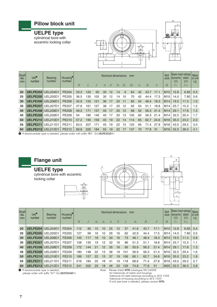

| Shaft<br>dia.<br>mm | Unit <sup>o</sup><br>number | <b>Bearing</b><br>number | Housing <sup>®</sup><br>number |      |     |     | Nominal dimensions |     |                |       | mm             |       |         |      | <b>Bolt</b><br>size | pasic idau ialihys<br>dynamic<br>kN | static<br>kN | <b>Mass</b><br>of unit<br>kg |
|---------------------|-----------------------------|--------------------------|--------------------------------|------|-----|-----|--------------------|-----|----------------|-------|----------------|-------|---------|------|---------------------|-------------------------------------|--------------|------------------------------|
|                     |                             |                          |                                | H    | L   |     | $\overline{A}$     | - N | N <sub>1</sub> | $H_1$ | H <sub>2</sub> | $L_1$ | $B_1$   |      | M                   | $C_r$                               | $C_{or}$     |                              |
| <b>20</b>           | UELPE204 UEL204D1           |                          | PE204                          | 33.3 | 120 | 95  | 30                 | 12  | 14             | 9     | 64             | 42    | 43.7    | 17.1 | M <sub>10</sub>     | 12.8                                | 6.65         | 0.5                          |
| 25                  | <b>UELPE205 UEL205D1</b>    |                          | PE205                          | 36.5 | 130 | 105 | 30                 | 12  | 14             | 10    | 70             | 42    | 44.4    | 17.5 | M10                 | 14.0                                | 7.85         | 0.6                          |
| 30                  | <b>UELPE206</b> UEL206D1    |                          | PE206                          | 42.9 | 155 | 121 | 36                 | 17  | 20             | 11    | 82             | 54    | 48.4    | 18.3 | M <sub>14</sub>     | 19.5                                | 11.3         | 1.0                          |
| 35                  | <b>UELPE207 UEL207D1</b>    |                          | PE207                          | 47.6 | 161 | 127 | 38                 | 17  | 20             | 12    | 92             | 54    | 51.1    | 18.8 | M14                 | 25.7                                | 15.3         | 1.2                          |
| 40                  | <b>UELPE208 UEL208D1</b>    |                          | <b>PE208</b>                   | 49.2 | 171 | 137 | 40                 | 17  | 20             | 12    | 98             | 52    | 56.3    | 21.4 | M14                 | 29.1                                | 17.8         | 1.5                          |
| 45                  | UELPE209 UEL209D1           |                          | PE209                          | 54   | 180 | 146 | 40                 | 17  | 20             | 13    | 105            | 60    | 56.3    | 21.4 | M14                 | 32.5                                | 20.4         | 1.7                          |
| 50                  | UELPE210 UEL210D1           |                          | PE210                          | 57.2 | 195 | 159 | 45                 | 19  | 22             | 14    | 114            | 65    | 62.7    | 24.6 | M16                 | 35.0                                | 23.2         | 2.0                          |
| 55                  | UELPE211                    | UEL211D1                 | PE211                          | 63.5 | 207 | 171 | 45                 | 19  | 22             | 15    | 125            | 65    | 71.4    | 27.8 | M16                 | 43.5                                | 29.2         | 3.0                          |
| 60                  | <b>UELPE212</b> UEL212D1    |                          | PE212                          | 69.8 | 220 | 184 | 55                 | 19  | 22             | 17    | 137            | 70    | 77.8 31 |      | M16                 | 52.5                                | 36.0         | 4.1                          |

1 If relubricatable type is needed, please order with suffix "**D1**". (Ex:**UELPE204D1**)



#### **Flange unit**

**UELFE type** cylindrical bore with eccentric locking collar







| Shaft<br>dia.<br>mm | Unit <sup>o</sup><br>number | <b>Bearing</b><br>number | Housing <sup>®</sup><br>number | H   | J   | A <sub>2</sub> | A <sub>1</sub> | Nominal dimensions<br>$\overline{A}$ | N  | L   | mm<br>A <sub>o</sub> | B <sub>1</sub> | S    | <b>Bolt</b><br>size<br>M | <b>Basic load ratings</b><br> dynamic <br>kN<br>$C_{r}$ | static<br>kN<br>$C_{\rm or}$ | <b>Mass</b><br>of unit<br>kg |
|---------------------|-----------------------------|--------------------------|--------------------------------|-----|-----|----------------|----------------|--------------------------------------|----|-----|----------------------|----------------|------|--------------------------|---------------------------------------------------------|------------------------------|------------------------------|
|                     |                             |                          |                                |     |     |                |                |                                      |    |     |                      |                |      |                          |                                                         |                              |                              |
| 20                  | UELFE204                    | <b>UEL204D1</b>          | <b>FE204</b>                   | 112 | 90  | 15             | 10             | 25                                   | 12 | 57  | 41.6                 | 43.7           | 17.1 | M <sub>10</sub>          | 12.8                                                    | 6.65                         | 0.4                          |
| 25                  | UELFE205                    | <b>UEL205D1</b>          | FE205                          | 127 | 99  | 16             | 10             | 26                                   | 16 | 62  | 42.9                 | 44.4           | 17.5 | M14                      | 14.0                                                    | 7.85                         | 0.5                          |
| 30                  | UELFE206                    | <b>UEL206D1</b>          | FE206                          | 145 | 117 | 18             | 10             | 30                                   | 16 | 73  | 48.1                 | 48.4           | 18.3 | M <sub>14</sub>          | 19.5                                                    | 11.3                         | 0.8                          |
| 35                  | <b>UELFE207</b>             | <b>UEL207D1</b>          | FE207                          | 158 | 130 | 19             | 12             | 32                                   | 16 | 86  | 51.3                 | 51.1           | 18.8 | M14                      | 25.7                                                    | 15.3                         | 1.1                          |
| 40                  | UELFE208                    | <b>UEL208D1</b>          | <b>FE208</b>                   | 172 | 144 | 21             | 12             | 35                                   | 16 | 95  | 55.9                 | 56.3           | 21.4 | M <sub>14</sub>          | 29.1                                                    | 17.8                         | 1.3                          |
| 45                  | <b>UELFE209</b>             | <b>UEL209D1</b>          | FE209                          | 180 | 148 | 22             | 13             | 36                                   | 19 | 101 | 56.9                 | 56.3           | 21.4 | M16                      | 32.5                                                    | 20.4                         | 1.6                          |
| 50                  | UELFE210                    | <b>UEL210D1</b>          | FE210                          | 189 | 157 | 22             | 13             | 37                                   | 19 | 106 | 60.1                 | 62.7           | 24.6 | M16                      | 35.0                                                    | 23.2                         | 1.8                          |
| 55                  | UELFE211                    | <b>UEL211D1</b>          | FE211                          | 216 | 184 | 25             | 18             | 41                                   | 19 | 118 | 68.6                 | 71.4           | 27.8 | M16                      | 43.5                                                    | 29.2                         | 2.7                          |
| 60                  | UELFE212                    | <b>UEL212D1</b>          | FE212                          | 241 | 202 | 29             | 18             | 46                                   | 23 | 129 | 74.8                 | 77.8           | 31   | M <sub>20</sub>          | 52.5                                                    | 36.0                         | 3.8                          |

**1** If relubricatable type is needed, please order with suffix "D1" (Ex:**UELFE204D1**) Note: Please check **NTN** catalogue NO.2400/E.

for tolerances of inserts and housings. Tolerance of insert bearings according to JIS B 1558. Tolerance of housing according to JIS B 1559. If inch size bore is needed, please contact **NTN**.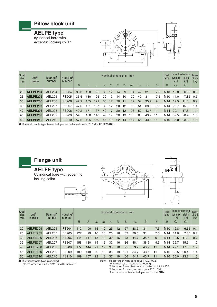

| Shaft<br>dia.<br>mm | Unit <sup>o</sup><br>number | Bearing <sup>®</sup><br>number | Housing <sup>®</sup><br>number | H    |     |     | А  | Nominal dimensions<br>N | N <sub>1</sub> | $H_1$ | mm<br>H <sub>2</sub> | $L_1$ | B <sub>1</sub> |     | <b>Bolt</b><br>size<br>M | <b>Basic load ratings</b><br> dynamic <br>kN<br>$C_r$ | static<br>kN<br>$C_{\rm or}$ | <b>Mass</b><br>of unit<br>kg |
|---------------------|-----------------------------|--------------------------------|--------------------------------|------|-----|-----|----|-------------------------|----------------|-------|----------------------|-------|----------------|-----|--------------------------|-------------------------------------------------------|------------------------------|------------------------------|
|                     |                             |                                |                                |      |     |     |    |                         |                |       |                      |       |                |     |                          |                                                       |                              |                              |
| <b>20</b>           | AELPE204                    | <b>AEL204</b>                  | <b>PE204</b>                   | 33.3 | 120 | 95  | 30 | 12                      | 14             | 9     | 64                   | 42    | 31             | 7.5 | M <sub>10</sub>          | 12.8                                                  | 6.65                         | 0.5                          |
| 25                  | AELPE205                    | AEL205                         | PE205                          | 36.5 | 130 | 105 | 30 | 12                      | 14             | 10    | 70                   | 42    | 31             | 7.5 | M <sub>10</sub>          | 14.0                                                  | 7.85                         | 0.5                          |
| 30                  | AELPE206                    | AEL206                         | PE206                          | 42.9 | 155 | 121 | 36 | 17                      | 20             | -11   | 82                   | 54    | 35.7           | 9   | M <sub>14</sub>          | 19.5                                                  | 11.3                         | 0.9                          |
| 35                  | AELPE207                    | AEL207                         | <b>PE207</b>                   | 47.6 | 161 | 127 | 38 | 17                      | 20             | 12    | 92                   | 54    | 38.9           | 9.5 | M14                      | 25.7                                                  | 15.3                         | 1.1                          |
| 40                  | AELPE208                    | <b>AEL208</b>                  | <b>PE208</b>                   | 49.2 | 171 | 137 | 40 | 17                      | 20             | 12    | 98                   | 52    | 43.7           | -11 | M <sub>14</sub>          | 29.1                                                  | 17.8                         | 1.4                          |
| 45                  | AELPE209                    | AEL209                         | PE209                          | 54   | 180 | 146 | 40 | 17                      | 20             | 13    | 105                  | 60    | 43.7           | -11 | M14                      | 32.5                                                  | 20.4                         | 1.5                          |
| 50                  | AELPE210                    | AEL210                         | PE210                          | 57.2 | 195 | 159 | 45 | 19                      | 22             | 14    | 114                  | 65    | 43.7           | -11 | M <sub>16</sub>          | 35.0                                                  | 23.2                         | 1.8                          |

1 If relubricatable type is needed, please order with suffix "**D1**". (Ex:**AELPE204D1**)



#### **Flange unit**

**AELFE type** Cylindrical bore with eccentric

locking collar







| <b>Shaft</b><br>dia.<br>mm | Unit <sup>o</sup><br>number | Bearing <sup>®</sup><br>number | Housing <sup>®</sup><br>number | H   | $J_{\rm c}$ | A2 | A <sub>1</sub> | Nominal dimensions<br>A | N  |     | mm<br>Ao | B <sub>1</sub> | S   | <b>Bolt</b><br>size<br>M | <b>Basic load ratings</b><br>dynamic<br>kN<br>$C_r$ | static<br>kN<br>$C_{\rm or}$ | <b>Mass</b><br>of unit<br>kg |
|----------------------------|-----------------------------|--------------------------------|--------------------------------|-----|-------------|----|----------------|-------------------------|----|-----|----------|----------------|-----|--------------------------|-----------------------------------------------------|------------------------------|------------------------------|
|                            |                             |                                |                                |     |             |    |                |                         |    |     |          |                |     |                          |                                                     |                              |                              |
| 20                         | AELFE204                    | <b>AEL204</b>                  | <b>FE204</b>                   | 112 | 90          | 15 | 10             | 25                      | 12 | 57  | 38.5     | 31             | 7.5 | M <sub>10</sub>          | 12.8                                                | 6.65                         | 0.4                          |
| 25                         | AELFE205                    | AEL205                         | <b>FE205</b>                   | 127 | 99          | 16 | 10             | 26                      | 16 | 62  | 39.5     | 31             | 7.5 | M14                      | 14.0                                                | 7.85                         | 0.4                          |
| 30                         | AELFE206                    | AEL206                         | <b>FE206</b>                   | 145 | 117         | 18 | 10             | 30                      | 16 | 73  | 44.7     | 35.7           | 9   | M14                      | 19.5                                                | 11.3                         | 0.7                          |
| 35                         | AELFE207                    | AEL207                         | <b>FE207</b>                   | 158 | 130         | 19 | 12             | 32                      | 16 | 86  | 48.4     | 38.9           | 9.5 | M14                      | 25.7                                                | 15.3                         | 1.0                          |
| 40                         | AELFE208                    | AEL208                         | <b>FE208</b>                   | 172 | 144         | 21 | 12             | 35                      | 16 | 95  | 53.7     | 43.7           | 11  | M <sub>14</sub>          | 29.1                                                | 17.8                         | 1.2                          |
| 45                         | AELFE209                    | <b>AEL209</b>                  | FE209                          | 180 | 148         | 22 | 13             | 36                      | 19 | 101 | 54.7     | 43.7           | 11  | M16                      | 32.5                                                | 20.4                         | 1.4                          |
| 50                         | AELFE210                    | <b>AEL210</b>                  | FE210                          | 189 | 157         | 22 | 13             | 37                      | 19 | 106 | 54.7     | 43.7           | 11  | M <sub>16</sub>          | 35.0                                                | 23.2                         | 1.6                          |

**1** If relubricatable type is needed, please order with suffix "D1" (Ex:**AELFE204D1**)

Note: Please check **NTN** catalogue NO.2400/E.<br>for tolerances of inserts and housings.<br>Tolerance of insert bearings according to JIS B 1558.<br>Tolerance of housing according to JIS B 1559.<br>If inch size bore is needed, please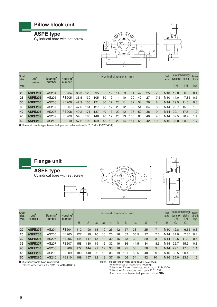#### **Pillow block unit**

**ASPE type**

Cylindrical bore with set screw





| Shaft<br>dia.<br>mm | Unit <sup>o</sup><br>number | Bearing <sup>®</sup><br>number | Housing <sup>®</sup><br>number |      | <b>Bolt</b><br>Nominal dimensions<br>mm<br>size |     |    |    |    |    |     |    |    |     |                 | <b>Basic load ratings</b><br> dynamic <br>kN | static<br>kN | <b>Mass</b><br>of unit<br><b>kg</b> |
|---------------------|-----------------------------|--------------------------------|--------------------------------|------|-------------------------------------------------|-----|----|----|----|----|-----|----|----|-----|-----------------|----------------------------------------------|--------------|-------------------------------------|
|                     |                             |                                |                                |      |                                                 |     |    |    |    |    |     |    |    |     |                 |                                              |              |                                     |
| 20                  | <b>ASPE204</b>              | AS204                          | <b>PE204</b>                   | 33.3 | 120                                             | 95  | 30 | 12 | 14 | 9  | 64  | 42 | 25 |     | M <sub>10</sub> | 12.8                                         | 6.65         | 0.4                                 |
| 25                  | <b>ASPE205</b>              | AS205                          | PE205                          | 36.5 | 130                                             | 105 | 30 | 12 | 14 | 10 | 70  | 42 | 27 | 7.5 | M <sub>10</sub> | 14.0                                         | 7.85         | 0.5                                 |
| 30                  | <b>ASPE206</b>              | AS206                          | <b>PE206</b>                   | 42.9 | 155                                             | 121 | 36 | 17 | 20 | 11 | 82  | 54 | 29 | 8   | M14             | 19.5                                         | 11.3         | 0.8                                 |
| 35                  | <b>ASPE207</b>              | AS207                          | <b>PE207</b>                   | 47.6 | 161                                             | 127 | 38 | 17 | 20 | 12 | 92  | 54 | 34 | 8.5 | M14             | 25.7                                         | 15.3         | 1.0                                 |
| 40                  | <b>ASPE208</b>              | AS208                          | <b>PE208</b>                   | 49.2 | 171                                             | 137 | 40 | 17 | 20 | 12 | 98  | 52 | 38 | 9   | M <sub>14</sub> | 29.1                                         | 17.8         | 1.2                                 |
| 45                  | <b>ASPE209</b>              | AS209                          | PE209                          | 54   | 180                                             | 146 | 40 | 17 | 20 | 13 | 105 | 60 | 40 | 9.5 | M14             | 32.5                                         | 20.4         | 1.4                                 |
| 50                  | <b>ASPE210</b>              | AS210                          | PE210                          | 57.2 | 195                                             | 159 | 45 | 19 | 22 | 14 | 114 | 65 | 42 | 10  | M <sub>16</sub> | 35.0                                         | 23.2         | 1.7                                 |

1 If relubricatable type is needed, please order with suffix "**D1**". (Ex:**ASPE204D1**)



#### **Flange unit**

**ASFE type**

Cylindrical bore with set screw







| Shaft<br>dia.<br>mm | Unit <sup>o</sup><br>number | Bearing <sup>®</sup><br>number | Housing <sup>®</sup><br>number | H   | J   | A <sub>2</sub> | A <sub>1</sub> | Nominal dimensions<br>$\overline{A}$ | N  |     | mm<br>A <sub>0</sub> | B  | S   | <b>Bolt</b><br>size<br>M | dynamic<br>kN<br>$C_{r}$ | <b>Basic load ratings</b><br>static<br>kN<br>$C_{\rm or}$ | <b>Mass</b><br>of unit<br>kg |
|---------------------|-----------------------------|--------------------------------|--------------------------------|-----|-----|----------------|----------------|--------------------------------------|----|-----|----------------------|----|-----|--------------------------|--------------------------|-----------------------------------------------------------|------------------------------|
| 20                  | <b>ASFE204</b>              | AS204                          | <b>FE204</b>                   | 112 | 90  | 15             | 10             | 25                                   | 12 | 57  | 33                   | 25 | 7   | M10                      | 12.8                     | 6.65                                                      | 0.3                          |
| 25                  | <b>ASFE205</b>              | AS205                          | <b>FE205</b>                   | 127 | 99  | 16             | 10             | 26                                   | 16 | 62  | 35.5                 | 27 | 7.5 | M14                      | 14.0                     | 7.85                                                      | 0.4                          |
| 30                  | <b>ASFE206</b>              | AS206                          | <b>FE206</b>                   | 145 | 117 | 18             | 10             | 30                                   | 16 | 73  | 39                   | 29 | 8   | M <sub>14</sub>          | 19.5                     | 11.3                                                      | 0.6                          |
| 35                  | <b>ASFE207</b>              | AS207                          | FE207                          | 158 | 130 | 19             | 12             | 32                                   | 16 | 86  | 44.5                 | 34 | 8.5 | M14                      | 25.7                     | 15.3                                                      | 0.8                          |
| 40                  | <b>ASFE208</b>              | AS208                          | <b>FE208</b>                   | 172 | 144 | 21             | 12             | 35                                   | 16 | 95  | 50                   | 38 | 9   | M <sub>14</sub>          | 29.1                     | 17.8                                                      | 1.1                          |
| 45                  | <b>ASFE209</b>              | AS209                          | FE209                          | 180 | 148 | 22             | 3              | 36                                   | 19 | 101 | 52.5                 | 40 | 9.5 | M16                      | 32.5                     | 20.4                                                      | 1.3                          |
| 50                  | <b>ASFE210</b>              | AS210                          | FE210                          | 189 | 157 | 22             | 13             | 37                                   | 19 | 106 | 54                   | 42 | 10  | M16                      | 35.0                     | 23.2                                                      | 1.5                          |

**1** If relubricatable type is needed,

please order with suffix "D1" (Ex:**ASFE204D1**)

Note: Please check **NTN** catalogue NO.2400/E.

for tolerances of inserts and housings. Tolerance of insert bearings according to JIS B 1558. Tolerance of housing according to JIS B 1559. If inch size bore is needed, please contact **NTN**.